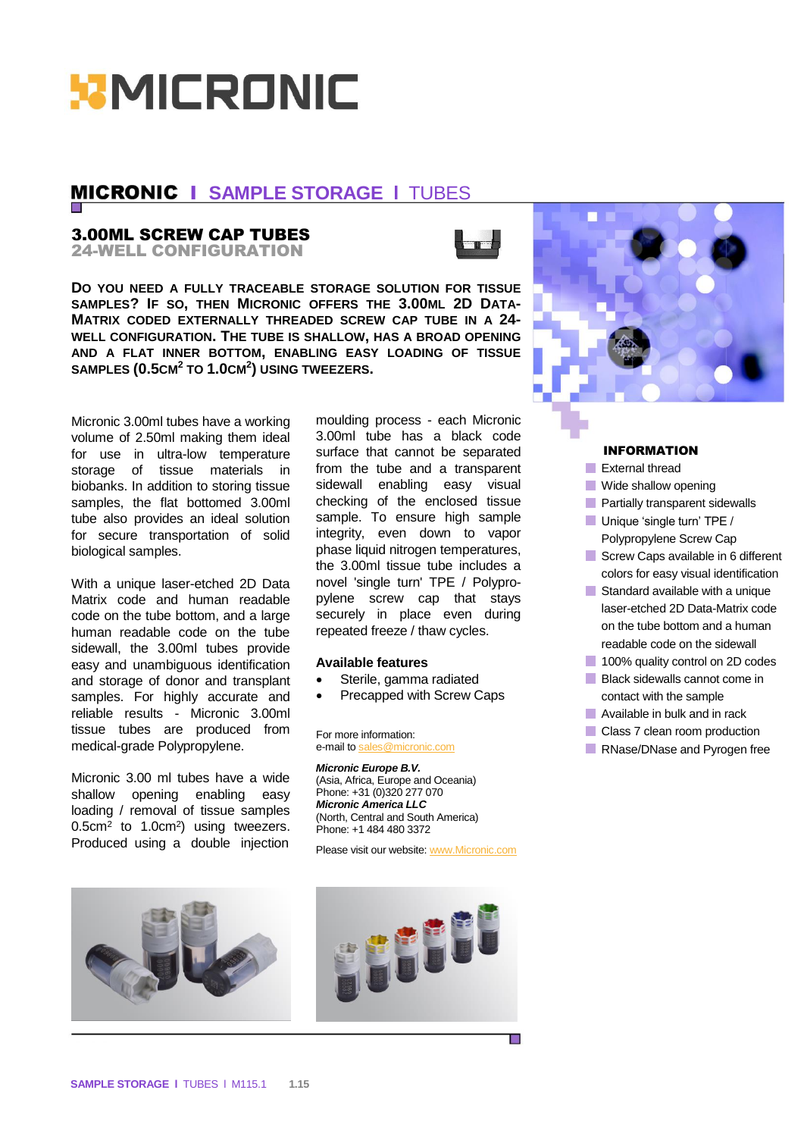

# **MICRONIC I SAMPLE STORAGE I TUBES**

## 3.00ML SCREW CAP TUBES

24-WELL CONFIGURATION



**DO YOU NEED A FULLY TRACEABLE STORAGE SOLUTION FOR TISSUE SAMPLES? IF SO, THEN MICRONIC OFFERS THE 3.00ML 2D DATA-MATRIX CODED EXTERNALLY THREADED SCREW CAP TUBE IN A 24- WELL CONFIGURATION. THE TUBE IS SHALLOW, HAS A BROAD OPENING AND A FLAT INNER BOTTOM, ENABLING EASY LOADING OF TISSUE SAMPLES (0.5CM<sup>2</sup> TO 1.0CM<sup>2</sup> ) USING TWEEZERS.**

Micronic 3.00ml tubes have a working volume of 2.50ml making them ideal for use in ultra-low temperature storage of tissue materials in biobanks. In addition to storing tissue samples, the flat bottomed 3.00ml tube also provides an ideal solution for secure transportation of solid biological samples.

With a unique laser-etched 2D Data Matrix code and human readable code on the tube bottom, and a large human readable code on the tube sidewall, the 3.00ml tubes provide easy and unambiguous identification and storage of donor and transplant samples. For highly accurate and reliable results - Micronic 3.00ml tissue tubes are produced from medical-grade Polypropylene.

Micronic 3.00 ml tubes have a wide shallow opening enabling easy loading / removal of tissue samples  $0.5$ cm<sup>2</sup> to  $1.0$ cm<sup>2</sup>) using tweezers. Produced using a double injection

moulding process - each Micronic 3.00ml tube has a black code surface that cannot be separated from the tube and a transparent sidewall enabling easy visual checking of the enclosed tissue sample. To ensure high sample integrity, even down to vapor phase liquid nitrogen temperatures, the 3.00ml tissue tube includes a novel 'single turn' TPE / Polypropylene screw cap that stays securely in place even during repeated freeze / thaw cycles.

#### **Available features**

- Sterile, gamma radiated
- Precapped with Screw Caps

For more information: e-mail t[o sales@micronic.com](mailto:sales@micronic.com)

*Micronic Europe B.V.* (Asia, Africa, Europe and Oceania) Phone: +31 (0)320 277 070 *Micronic America LLC* (North, Central and South America) Phone: +1 484 480 3372

Please visit our website: [www.Micronic.com](http://www.micronic.com/)



### INFORMATION

- External thread
- **Wide shallow opening**
- **Partially transparent sidewalls**
- Unique 'single turn' TPE /
- Polypropylene Screw Cap Screw Caps available in 6 different
- colors for easy visual identification
- Standard available with a unique laser-etched 2D Data-Matrix code on the tube bottom and a human readable code on the sidewall
- 100% quality control on 2D codes
- **Black sidewalls cannot come in** contact with the sample
- **Available in bulk and in rack**
- Class 7 clean room production
- RNase/DNase and Pyrogen free





Е